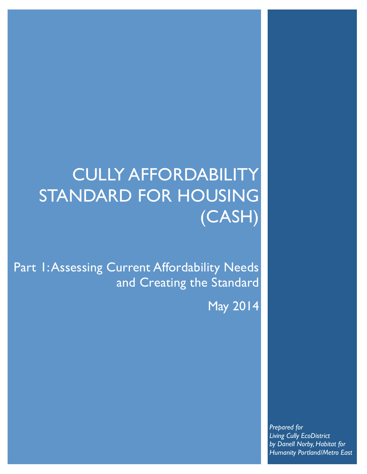# CULLY AFFORDABILITY STANDARD FOR HOUSING (CASH)

Part 1: Assessing Current Affordability Needs and Creating the Standard

May 2014

*Prepared for Living Cully EcoDistrict by Danell Norby, Habitat for Humanity Portland/Metro East*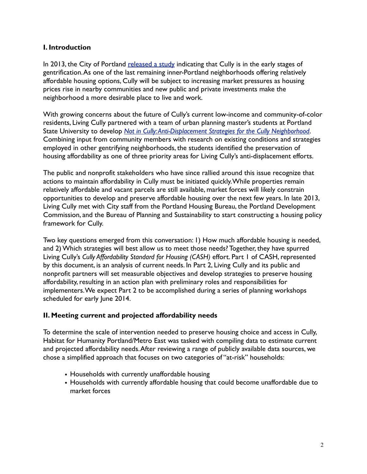## **I. Introduction**

In 2013, the City of Portland [released a study](https://www.portlandoregon.gov/bps/62635) indicating that Cully is in the early stages of gentrification. As one of the last remaining inner-Portland neighborhoods offering relatively affordable housing options, Cully will be subject to increasing market pressures as housing prices rise in nearby communities and new public and private investments make the neighborhood a more desirable place to live and work.

With growing concerns about the future of Cully's current low-income and community-of-color residents, Living Cully partnered with a team of urban planning master's students at Portland State University to develop *[Not in Cully: Anti-Displacement Strategies for the Cully Neighborhood](http://www.pdx.edu/usp/sites/www.pdx.edu.usp/files/A_LivingCully_PrinterFriendly_0.pdf)*. Combining input from community members with research on existing conditions and strategies employed in other gentrifying neighborhoods, the students identified the preservation of housing affordability as one of three priority areas for Living Cully's anti-displacement efforts.

The public and nonprofit stakeholders who have since rallied around this issue recognize that actions to maintain affordability in Cully must be initiated quickly. While properties remain relatively affordable and vacant parcels are still available, market forces will likely constrain opportunities to develop and preserve affordable housing over the next few years. In late 2013, Living Cully met with City staff from the Portland Housing Bureau, the Portland Development Commission, and the Bureau of Planning and Sustainability to start constructing a housing policy framework for Cully.

Two key questions emerged from this conversation: 1) How much affordable housing is needed, and 2) Which strategies will best allow us to meet those needs? Together, they have spurred Living Cully's *Cully Affordability Standard for Housing (CASH)* effort. Part 1 of CASH, represented by this document, is an analysis of current needs. In Part 2, Living Cully and its public and nonprofit partners will set measurable objectives and develop strategies to preserve housing affordability, resulting in an action plan with preliminary roles and responsibilities for implementers. We expect Part 2 to be accomplished during a series of planning workshops scheduled for early June 2014.

#### **II. Meeting current and projected affordability needs**

To determine the scale of intervention needed to preserve housing choice and access in Cully, Habitat for Humanity Portland/Metro East was tasked with compiling data to estimate current and projected affordability needs. After reviewing a range of publicly available data sources, we chose a simplified approach that focuses on two categories of "at-risk" households:

- Households with currently unaffordable housing
- Households with currently affordable housing that could become unaffordable due to market forces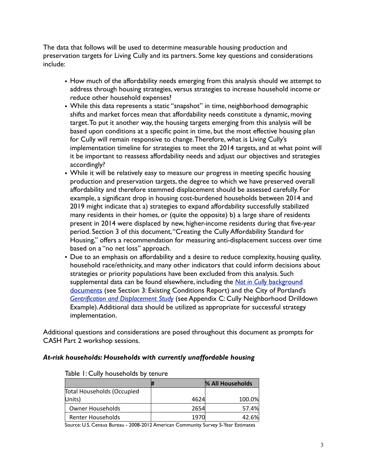The data that follows will be used to determine measurable housing production and preservation targets for Living Cully and its partners. Some key questions and considerations include:

- How much of the affordability needs emerging from this analysis should we attempt to address through housing strategies, versus strategies to increase household income or reduce other household expenses?
- While this data represents a static "snapshot" in time, neighborhood demographic shifts and market forces mean that affordability needs constitute a dynamic, moving target. To put it another way, the housing targets emerging from this analysis will be based upon conditions at a specific point in time, but the most effective housing plan for Cully will remain responsive to change. Therefore, what is Living Cully's implementation timeline for strategies to meet the 2014 targets, and at what point will it be important to reassess affordability needs and adjust our objectives and strategies accordingly?
- While it will be relatively easy to measure our progress in meeting specific housing production and preservation targets, the degree to which we have preserved overall affordability and therefore stemmed displacement should be assessed carefully. For example, a significant drop in housing cost-burdened households between 2014 and 2019 might indicate that a) strategies to expand affordability successfully stabilized many residents in their homes, or (quite the opposite) b) a large share of residents present in 2014 were displaced by new, higher-income residents during that five-year period. Section 3 of this document, "Creating the Cully Affordability Standard for Housing," offers a recommendation for measuring anti-displacement success over time based on a "no net loss" approach.
- Due to an emphasis on affordability and a desire to reduce complexity, housing quality, household race/ethnicity, and many other indicators that could inform decisions about strategies or priority populations have been excluded from this analysis. Such supplemental data can be found elsewhere, including the *Not in Cully* [background](http://www.pdx.edu/usp/sites/www.pdx.edu.usp/files/B_LivingCully_BackgroundDocs.pdf)  [documents](http://www.pdx.edu/usp/sites/www.pdx.edu.usp/files/B_LivingCully_BackgroundDocs.pdf) (see Section 3: Existing Conditions Report) and the City of Portland's *[Gentrification and Displacement Study](https://www.portlandoregon.gov/bps/article/454027)* (see Appendix C: Cully Neighborhood Drilldown Example). Additional data should be utilized as appropriate for successful strategy implementation.

Additional questions and considerations are posed throughout this document as prompts for CASH Part 2 workshop sessions.

#### *At-risk households: Households with currently unaffordable housing*

|                                   |  |      | % All Households |
|-----------------------------------|--|------|------------------|
| <b>Total Households (Occupied</b> |  |      |                  |
| Units)                            |  | 4624 | 100.0%           |
| Owner Households                  |  | 2654 | 57.4%            |
| <b>Renter Households</b>          |  | 1970 | 42.6%            |
|                                   |  |      |                  |

#### Table 1: Cully households by tenure

Source: U.S. Census Bureau - 2008-2012 American Community Survey 5-Year Estimates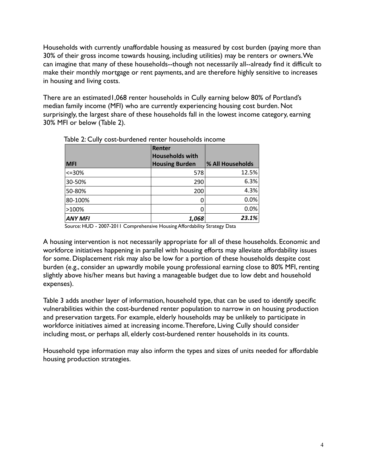Households with currently unaffordable housing as measured by cost burden (paying more than 30% of their gross income towards housing, including utilities) may be renters or owners. We can imagine that many of these households--though not necessarily all--already find it difficult to make their monthly mortgage or rent payments, and are therefore highly sensitive to increases in housing and living costs.

There are an estimated1,068 renter households in Cully earning below 80% of Portland's median family income (MFI) who are currently experiencing housing cost burden. Not surprisingly, the largest share of these households fall in the lowest income category, earning 30% MFI or below (Table 2).

| . <i>.</i>                       |                       |  |  |
|----------------------------------|-----------------------|--|--|
| Renter<br><b>Households with</b> | % All Households      |  |  |
|                                  |                       |  |  |
| 578                              | 12.5%                 |  |  |
| 290                              | 6.3%                  |  |  |
| 200                              | 4.3%                  |  |  |
| 0                                | 0.0%                  |  |  |
| 0                                | 0.0%                  |  |  |
| 1,068                            | 23.1%                 |  |  |
|                                  | <b>Housing Burden</b> |  |  |

Table 2: Cully cost-burdened renter households income

Source: HUD - 2007-2011 Comprehensive Housing Affordability Strategy Data

A housing intervention is not necessarily appropriate for all of these households. Economic and workforce initiatives happening in parallel with housing efforts may alleviate affordability issues for some. Displacement risk may also be low for a portion of these households despite cost burden (e.g., consider an upwardly mobile young professional earning close to 80% MFI, renting slightly above his/her means but having a manageable budget due to low debt and household expenses).

Table 3 adds another layer of information, household type, that can be used to identify specific vulnerabilities within the cost-burdened renter population to narrow in on housing production and preservation targets. For example, elderly households may be unlikely to participate in workforce initiatives aimed at increasing income. Therefore, Living Cully should consider including most, or perhaps all, elderly cost-burdened renter households in its counts.

Household type information may also inform the types and sizes of units needed for affordable housing production strategies.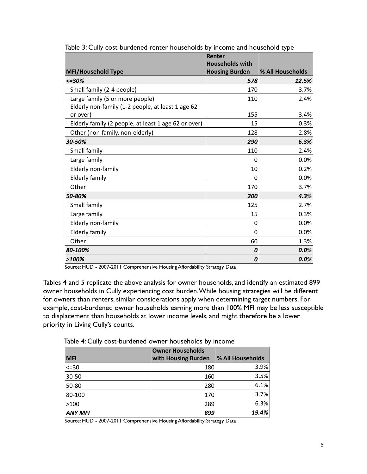|                                                               | Renter<br><b>Households with</b> |                  |
|---------------------------------------------------------------|----------------------------------|------------------|
| <b>MFI/Household Type</b>                                     | <b>Housing Burden</b>            | % All Households |
| $<=$ 30%                                                      | 578                              | 12.5%            |
| Small family (2-4 people)                                     | 170                              | 3.7%             |
| Large family (5 or more people)                               | 110                              | 2.4%             |
| Elderly non-family (1-2 people, at least 1 age 62<br>or over) | 155                              | 3.4%             |
| Elderly family (2 people, at least 1 age 62 or over)          | 15                               | 0.3%             |
| Other (non-family, non-elderly)                               | 128                              | 2.8%             |
| 30-50%                                                        | 290                              | 6.3%             |
| Small family                                                  | 110                              | 2.4%             |
| Large family                                                  | $\Omega$                         | 0.0%             |
| Elderly non-family                                            | 10                               | 0.2%             |
| <b>Elderly family</b>                                         | 0                                | 0.0%             |
| Other                                                         | 170                              | 3.7%             |
| 50-80%                                                        | 200                              | 4.3%             |
| Small family                                                  | 125                              | 2.7%             |
| Large family                                                  | 15                               | 0.3%             |
| Elderly non-family                                            | 0                                | 0.0%             |
| <b>Elderly family</b>                                         | 0                                | 0.0%             |
| Other                                                         | 60                               | 1.3%             |
| 80-100%                                                       | 0                                | 0.0%             |
| >100%                                                         | 0                                | 0.0%             |

Table 3: Cully cost-burdened renter households by income and household type

Source: HUD - 2007-2011 Comprehensive Housing Affordability Strategy Data

Tables 4 and 5 replicate the above analysis for owner households, and identify an estimated 899 owner households in Cully experiencing cost burden. While housing strategies will be different for owners than renters, similar considerations apply when determining target numbers. For example, cost-burdened owner households earning more than 100% MFI may be less susceptible to displacement than households at lower income levels, and might therefore be a lower priority in Living Cully's counts.

|  | Table 4: Cully cost-burdened owner households by income |  |  |  |  |
|--|---------------------------------------------------------|--|--|--|--|
|--|---------------------------------------------------------|--|--|--|--|

|             | <b>Owner Households</b> |                  |
|-------------|-------------------------|------------------|
| <b>MFI</b>  | with Housing Burden     | % All Households |
| $\mid$ <=30 | 180                     | 3.9%             |
| 30-50       | 160                     | 3.5%             |
| 50-80       | 280                     | 6.1%             |
| 80-100      | 170                     | 3.7%             |
| >100        | 289                     | 6.3%             |
| ANY MFI     | 899                     | 19.4%            |

Source: HUD - 2007-2011 Comprehensive Housing Affordability Strategy Data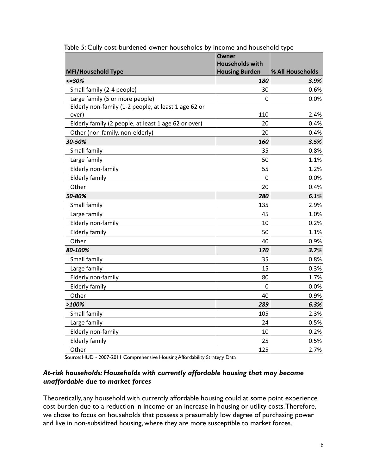|                                                      | Owner<br><b>Households with</b> |                  |
|------------------------------------------------------|---------------------------------|------------------|
| <b>MFI/Household Type</b>                            | <b>Housing Burden</b>           | % All Households |
| $< = 30%$                                            | <i><b>180</b></i>               | 3.9%             |
| Small family (2-4 people)                            | 30                              | 0.6%             |
| Large family (5 or more people)                      | $\Omega$                        | 0.0%             |
| Elderly non-family (1-2 people, at least 1 age 62 or |                                 |                  |
| over)                                                | 110                             | 2.4%             |
| Elderly family (2 people, at least 1 age 62 or over) | 20                              | 0.4%             |
| Other (non-family, non-elderly)                      | 20                              | 0.4%             |
| 30-50%                                               | 160                             | 3.5%             |
| Small family                                         | 35                              | 0.8%             |
| Large family                                         | 50                              | 1.1%             |
| Elderly non-family                                   | 55                              | 1.2%             |
| <b>Elderly family</b>                                | $\mathbf{0}$                    | 0.0%             |
| Other                                                | 20                              | 0.4%             |
| 50-80%                                               | 280                             | 6.1%             |
| Small family                                         | 135                             | 2.9%             |
| Large family                                         | 45                              | 1.0%             |
| Elderly non-family                                   | 10                              | 0.2%             |
| <b>Elderly family</b>                                | 50                              | 1.1%             |
| Other                                                | 40                              | 0.9%             |
| 80-100%                                              | 170                             | 3.7%             |
| Small family                                         | 35                              | 0.8%             |
| Large family                                         | 15                              | 0.3%             |
| Elderly non-family                                   | 80                              | 1.7%             |
| <b>Elderly family</b>                                | $\mathbf 0$                     | 0.0%             |
| Other                                                | 40                              | 0.9%             |
| >100%                                                | 289                             | 6.3%             |
| Small family                                         | 105                             | 2.3%             |
| Large family                                         | 24                              | 0.5%             |
| Elderly non-family                                   | 10                              | 0.2%             |
| <b>Elderly family</b>                                | 25                              | 0.5%             |
| Other                                                | 125                             | 2.7%             |

Table 5: Cully cost-burdened owner households by income and household type

Source: HUD - 2007-2011 Comprehensive Housing Affordability Strategy Data

#### *At-risk households: Households with currently affordable housing that may become unaffordable due to market forces*

Theoretically, any household with currently affordable housing could at some point experience cost burden due to a reduction in income or an increase in housing or utility costs. Therefore, we chose to focus on households that possess a presumably low degree of purchasing power and live in non-subsidized housing, where they are more susceptible to market forces.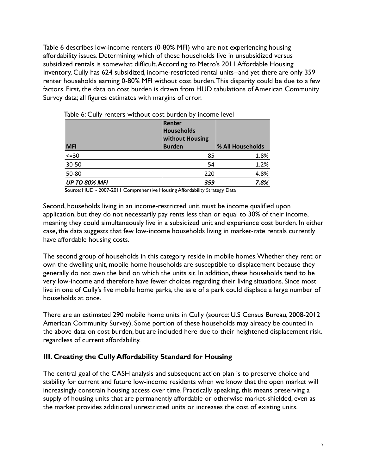Table 6 describes low-income renters (0-80% MFI) who are not experiencing housing affordability issues. Determining which of these households live in unsubsidized versus subsidized rentals is somewhat difficult. According to Metro's 2011 Affordable Housing Inventory, Cully has 624 subsidized, income-restricted rental units--and yet there are only 359 renter households earning 0-80% MFI without cost burden. This disparity could be due to a few factors. First, the data on cost burden is drawn from HUD tabulations of American Community Survey data; all figures estimates with margins of error.

|                      | Renter            |                  |  |
|----------------------|-------------------|------------------|--|
|                      | <b>Households</b> |                  |  |
|                      | without Housing   |                  |  |
| <b>MFI</b>           | <b>Burden</b>     | % All Households |  |
| $<=30$               | 85                | 1.8%             |  |
| 30-50                | 54                | 1.2%             |  |
| 50-80                | 220               | 4.8%             |  |
| <b>UP TO 80% MFI</b> | 359               | 7.8%             |  |

Table 6: Cully renters without cost burden by income level

Source: HUD - 2007-2011 Comprehensive Housing Affordability Strategy Data

Second, households living in an income-restricted unit must be income qualified upon application, but they do not necessarily pay rents less than or equal to 30% of their income, meaning they could simultaneously live in a subsidized unit and experience cost burden. In either case, the data suggests that few low-income households living in market-rate rentals currently have affordable housing costs.

The second group of households in this category reside in mobile homes. Whether they rent or own the dwelling unit, mobile home households are susceptible to displacement because they generally do not own the land on which the units sit. In addition, these households tend to be very low-income and therefore have fewer choices regarding their living situations. Since most live in one of Cully's five mobile home parks, the sale of a park could displace a large number of households at once.

There are an estimated 290 mobile home units in Cully (source: U.S Census Bureau, 2008-2012 American Community Survey). Some portion of these households may already be counted in the above data on cost burden, but are included here due to their heightened displacement risk, regardless of current affordability.

#### **III. Creating the Cully Affordability Standard for Housing**

The central goal of the CASH analysis and subsequent action plan is to preserve choice and stability for current and future low-income residents when we know that the open market will increasingly constrain housing access over time. Practically speaking, this means preserving a supply of housing units that are permanently affordable or otherwise market-shielded, even as the market provides additional unrestricted units or increases the cost of existing units.